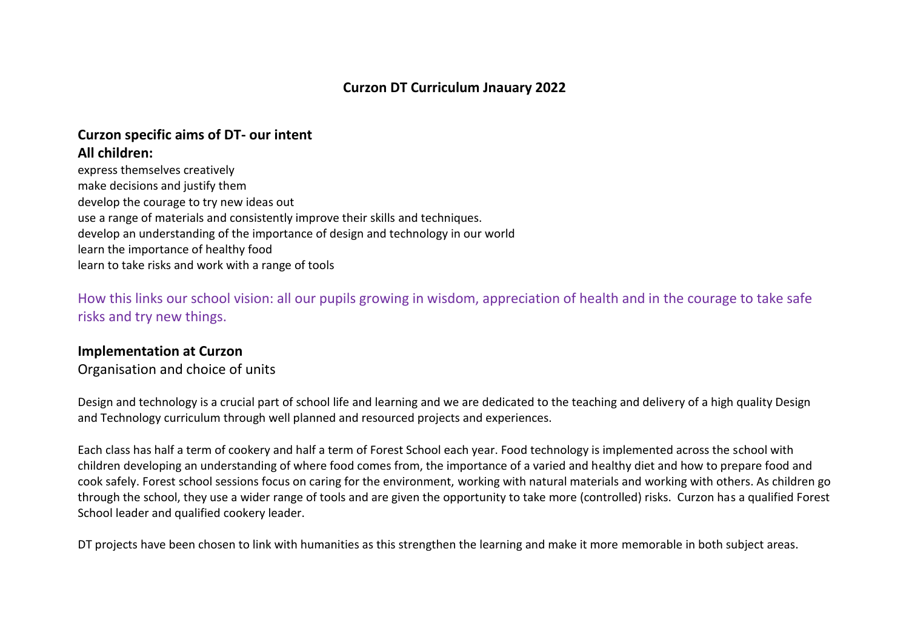# **Curzon specific aims of DT- our intent**

## **All children:**

express themselves creatively make decisions and justify them develop the courage to try new ideas out use a range of materials and consistently improve their skills and techniques. develop an understanding of the importance of design and technology in our world learn the importance of healthy food learn to take risks and work with a range of tools

How this links our school vision: all our pupils growing in wisdom, appreciation of health and in the courage to take safe risks and try new things.

## **Implementation at Curzon**

Organisation and choice of units

Design and technology is a crucial part of school life and learning and we are dedicated to the teaching and delivery of a high quality Design and Technology curriculum through well planned and resourced projects and experiences.

Each class has half a term of cookery and half a term of Forest School each year. Food technology is implemented across the school with children developing an understanding of where food comes from, the importance of a varied and healthy diet and how to prepare food and cook safely. Forest school sessions focus on caring for the environment, working with natural materials and working with others. As children go through the school, they use a wider range of tools and are given the opportunity to take more (controlled) risks. Curzon has a qualified Forest School leader and qualified cookery leader.

DT projects have been chosen to link with humanities as this strengthen the learning and make it more memorable in both subject areas.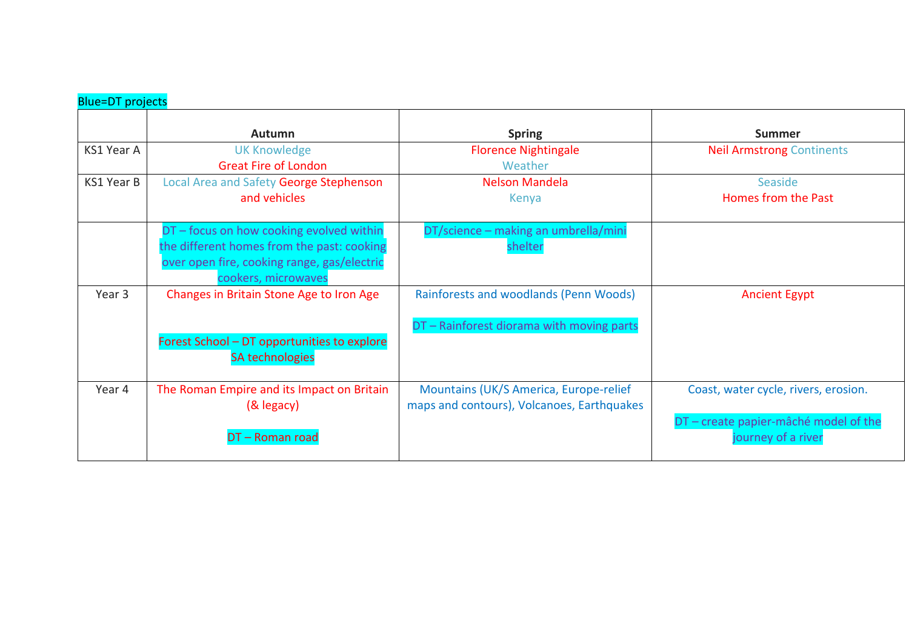| <b>Blue=DT</b> projects |                                                                                                                                                              |                                                                                      |                                                             |
|-------------------------|--------------------------------------------------------------------------------------------------------------------------------------------------------------|--------------------------------------------------------------------------------------|-------------------------------------------------------------|
|                         | Autumn                                                                                                                                                       | <b>Spring</b>                                                                        | <b>Summer</b>                                               |
| KS1 Year A              | <b>UK Knowledge</b><br><b>Great Fire of London</b>                                                                                                           | <b>Florence Nightingale</b><br>Weather                                               | <b>Neil Armstrong Continents</b>                            |
| KS1 Year B              | Local Area and Safety George Stephenson<br>and vehicles                                                                                                      | Nelson Mandela<br>Kenya                                                              | Seaside<br>Homes from the Past                              |
|                         | DT - focus on how cooking evolved within<br>the different homes from the past: cooking<br>over open fire, cooking range, gas/electric<br>cookers, microwaves | DT/science - making an umbrella/mini<br>shelter                                      |                                                             |
| Year 3                  | Changes in Britain Stone Age to Iron Age                                                                                                                     | Rainforests and woodlands (Penn Woods)<br>DT - Rainforest diorama with moving parts  | <b>Ancient Egypt</b>                                        |
|                         | Forest School - DT opportunities to explore<br><b>SA technologies</b>                                                                                        |                                                                                      |                                                             |
| Year 4                  | The Roman Empire and its Impact on Britain<br>(& legacy)                                                                                                     | Mountains (UK/S America, Europe-relief<br>maps and contours), Volcanoes, Earthquakes | Coast, water cycle, rivers, erosion.                        |
|                         | DT-Roman road                                                                                                                                                |                                                                                      | DT - create papier-mâché model of the<br>journey of a river |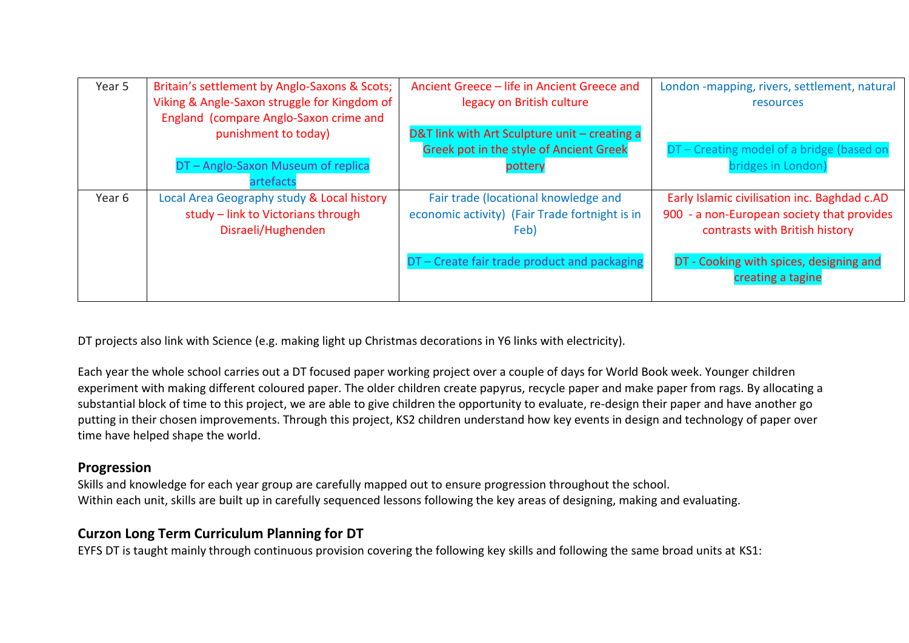| Year 5 | Britain's settlement by Anglo-Saxons & Scots;<br>Viking & Angle-Saxon struggle for Kingdom of<br>England (compare Anglo-Saxon crime and | Ancient Greece - life in Ancient Greece and<br>legacy on British culture                                                                       | London -mapping, rivers, settlement, natural<br><b>resources</b>                                                                                                        |
|--------|-----------------------------------------------------------------------------------------------------------------------------------------|------------------------------------------------------------------------------------------------------------------------------------------------|-------------------------------------------------------------------------------------------------------------------------------------------------------------------------|
|        | punishment to today)                                                                                                                    | D&T link with Art Sculpture unit - creating a<br>Greek pot in the style of Ancient Greek                                                       | DT - Creating model of a bridge (based on                                                                                                                               |
|        | DT-Anglo-Saxon Museum of replica<br>artefacts                                                                                           | pottery                                                                                                                                        | bridges in London)                                                                                                                                                      |
| Year 6 | Local Area Geography study & Local history<br>study - link to Victorians through<br>Disraeli/Hughenden                                  | Fair trade (locational knowledge and<br>economic activity) (Fair Trade fortnight is in<br>Feb)<br>DT - Create fair trade product and packaging | Early Islamic civilisation inc. Baghdad c.AD<br>900 - a non-European society that provides<br>contrasts with British history<br>DT - Cooking with spices, designing and |
|        |                                                                                                                                         |                                                                                                                                                | creating a tagine                                                                                                                                                       |

DT projects also link with Science (e.g. making light up Christmas decorations in Y6 links with electricity).

Each year the whole school carries out a DT focused paper working project over a couple of days for World Book week. Younger children experiment with making different coloured paper. The older children create papyrus, recycle paper and make paper from rags. By allocating a substantial block of time to this project, we are able to give children the opportunity to evaluate, re-design their paper and have another go putting in their chosen improvements. Through this project, KS2 children understand how key events in design and technology of paper over time have helped shape the world.

## **Progression**

Skills and knowledge for each year group are carefully mapped out to ensure progression throughout the school. Within each unit, skills are built up in carefully sequenced lessons following the key areas of designing, making and evaluating.

## **Curzon Long Term Curriculum Planning for DT**

EYFS DT is taught mainly through continuous provision covering the following key skills and following the same broad units at KS1: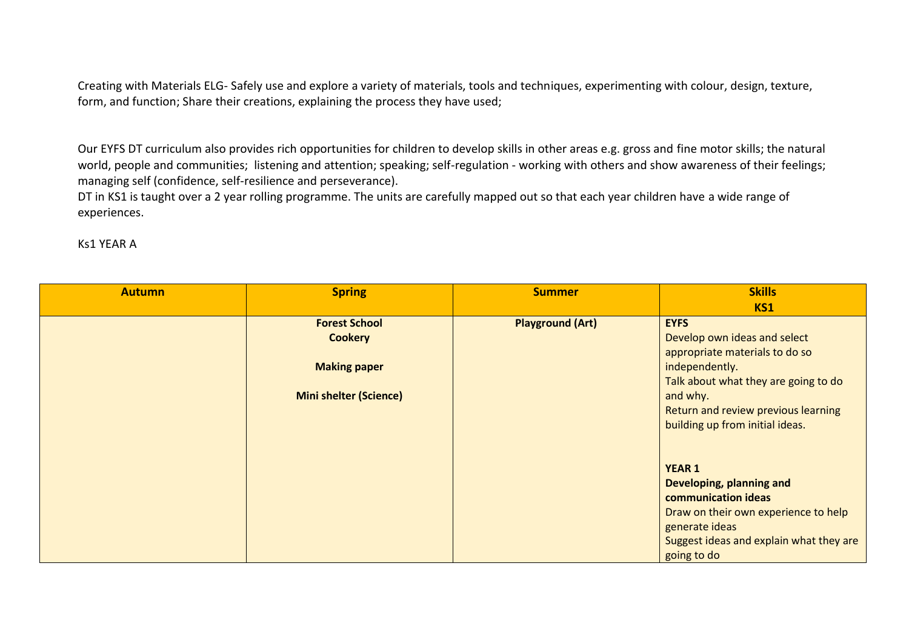Creating with Materials ELG- Safely use and explore a variety of materials, tools and techniques, experimenting with colour, design, texture, form, and function; Share their creations, explaining the process they have used;

Our EYFS DT curriculum also provides rich opportunities for children to develop skills in other areas e.g. gross and fine motor skills; the natural world, people and communities; listening and attention; speaking; self-regulation - working with others and show awareness of their feelings; managing self (confidence, self-resilience and perseverance).

DT in KS1 is taught over a 2 year rolling programme. The units are carefully mapped out so that each year children have a wide range of experiences.

Ks1 YEAR A

| <b>Autumn</b> | <b>Spring</b>                 | <b>Summer</b>           | <b>Skills</b>                           |
|---------------|-------------------------------|-------------------------|-----------------------------------------|
|               |                               |                         | <b>KS1</b>                              |
|               | <b>Forest School</b>          | <b>Playground (Art)</b> | <b>EYFS</b>                             |
|               | <b>Cookery</b>                |                         | Develop own ideas and select            |
|               |                               |                         | appropriate materials to do so          |
|               | <b>Making paper</b>           |                         | independently.                          |
|               |                               |                         | Talk about what they are going to do    |
|               | <b>Mini shelter (Science)</b> |                         | and why.                                |
|               |                               |                         | Return and review previous learning     |
|               |                               |                         | building up from initial ideas.         |
|               |                               |                         |                                         |
|               |                               |                         |                                         |
|               |                               |                         | <b>YEAR 1</b>                           |
|               |                               |                         | Developing, planning and                |
|               |                               |                         | communication ideas                     |
|               |                               |                         | Draw on their own experience to help    |
|               |                               |                         | generate ideas                          |
|               |                               |                         | Suggest ideas and explain what they are |
|               |                               |                         | going to do                             |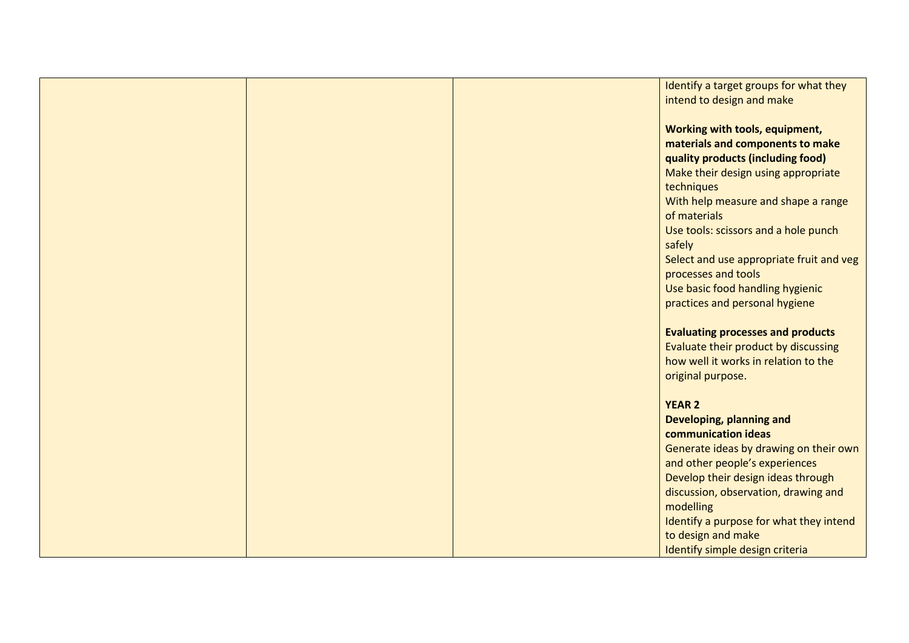|  | Identify a target groups for what they   |
|--|------------------------------------------|
|  | intend to design and make                |
|  |                                          |
|  |                                          |
|  | Working with tools, equipment,           |
|  | materials and components to make         |
|  | quality products (including food)        |
|  | Make their design using appropriate      |
|  |                                          |
|  | techniques                               |
|  | With help measure and shape a range      |
|  | of materials                             |
|  | Use tools: scissors and a hole punch     |
|  | safely                                   |
|  |                                          |
|  | Select and use appropriate fruit and veg |
|  | processes and tools                      |
|  | Use basic food handling hygienic         |
|  | practices and personal hygiene           |
|  |                                          |
|  |                                          |
|  | <b>Evaluating processes and products</b> |
|  | Evaluate their product by discussing     |
|  | how well it works in relation to the     |
|  | original purpose.                        |
|  |                                          |
|  | <b>YEAR 2</b>                            |
|  | Developing, planning and                 |
|  |                                          |
|  | communication ideas                      |
|  | Generate ideas by drawing on their own   |
|  | and other people's experiences           |
|  | Develop their design ideas through       |
|  | discussion, observation, drawing and     |
|  |                                          |
|  | modelling                                |
|  | Identify a purpose for what they intend  |
|  | to design and make                       |
|  | Identify simple design criteria          |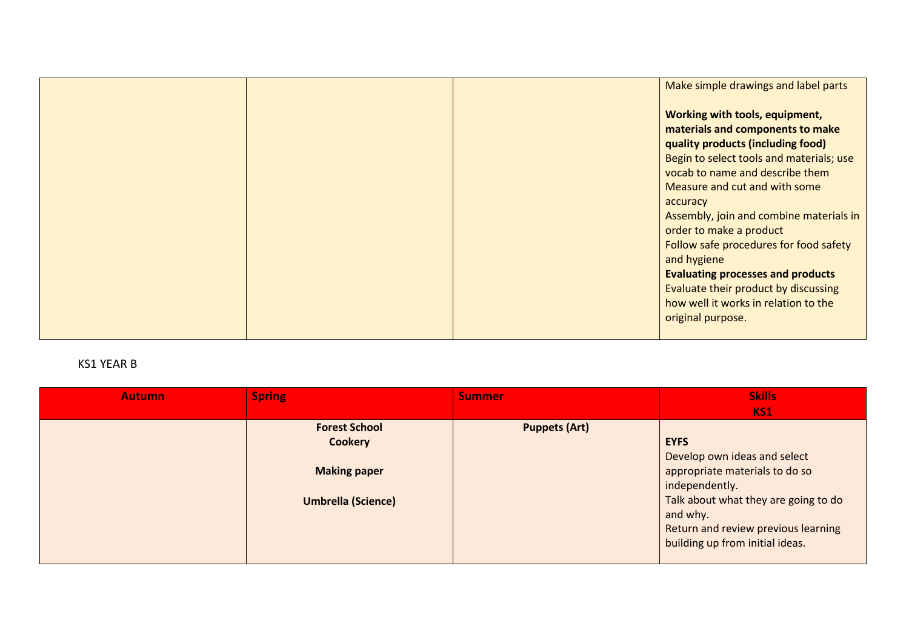|  | Make simple drawings and label parts                                                                                                                |
|--|-----------------------------------------------------------------------------------------------------------------------------------------------------|
|  | Working with tools, equipment,<br>materials and components to make<br>quality products (including food)<br>Begin to select tools and materials; use |
|  | vocab to name and describe them<br>Measure and cut and with some<br>accuracy                                                                        |
|  | Assembly, join and combine materials in<br>order to make a product<br>Follow safe procedures for food safety<br>and hygiene                         |
|  | <b>Evaluating processes and products</b><br>Evaluate their product by discussing<br>how well it works in relation to the<br>original purpose.       |

### KS1 YEAR B

| <b>Autumn</b> | <b>Spring</b>                                                                              | <b>Summer</b>        | <b>Skills</b><br><b>KS1</b>                                                                                                                                                                                                   |
|---------------|--------------------------------------------------------------------------------------------|----------------------|-------------------------------------------------------------------------------------------------------------------------------------------------------------------------------------------------------------------------------|
|               | <b>Forest School</b><br><b>Cookery</b><br><b>Making paper</b><br><b>Umbrella (Science)</b> | <b>Puppets (Art)</b> | <b>EYFS</b><br>Develop own ideas and select<br>appropriate materials to do so<br>independently.<br>Talk about what they are going to do<br>and why.<br>Return and review previous learning<br>building up from initial ideas. |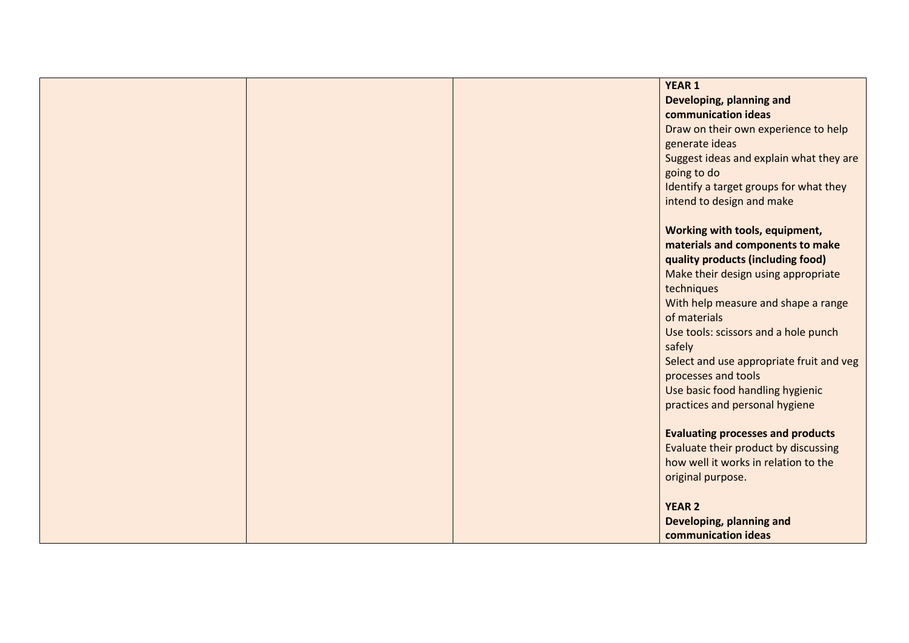|  | <b>YEAR 1</b>                                           |
|--|---------------------------------------------------------|
|  | Developing, planning and                                |
|  | communication ideas                                     |
|  | Draw on their own experience to help                    |
|  | generate ideas                                          |
|  | Suggest ideas and explain what they are                 |
|  | going to do                                             |
|  | Identify a target groups for what they                  |
|  | intend to design and make                               |
|  |                                                         |
|  | Working with tools, equipment,                          |
|  | materials and components to make                        |
|  | quality products (including food)                       |
|  | Make their design using appropriate                     |
|  | techniques                                              |
|  | With help measure and shape a range                     |
|  | of materials                                            |
|  | Use tools: scissors and a hole punch                    |
|  | safely                                                  |
|  | Select and use appropriate fruit and veg                |
|  | processes and tools<br>Use basic food handling hygienic |
|  | practices and personal hygiene                          |
|  |                                                         |
|  | <b>Evaluating processes and products</b>                |
|  | Evaluate their product by discussing                    |
|  | how well it works in relation to the                    |
|  | original purpose.                                       |
|  |                                                         |
|  | <b>YEAR 2</b>                                           |
|  | Developing, planning and                                |
|  | communication ideas                                     |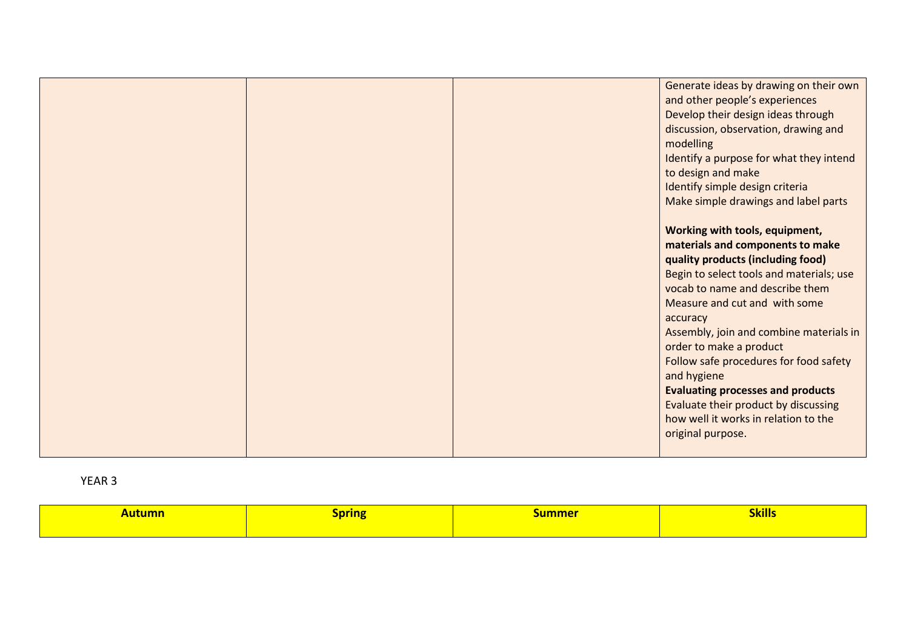|                                 | Generate ideas by drawing on their own   |
|---------------------------------|------------------------------------------|
|                                 | and other people's experiences           |
|                                 | Develop their design ideas through       |
|                                 | discussion, observation, drawing and     |
| modelling                       |                                          |
|                                 | Identify a purpose for what they intend  |
| to design and make              |                                          |
| Identify simple design criteria |                                          |
|                                 | Make simple drawings and label parts     |
|                                 |                                          |
|                                 |                                          |
|                                 | Working with tools, equipment,           |
|                                 | materials and components to make         |
|                                 | quality products (including food)        |
|                                 | Begin to select tools and materials; use |
|                                 | vocab to name and describe them          |
|                                 | Measure and cut and with some            |
| accuracy                        |                                          |
|                                 | Assembly, join and combine materials in  |
| order to make a product         |                                          |
|                                 | Follow safe procedures for food safety   |
| and hygiene                     |                                          |
|                                 | <b>Evaluating processes and products</b> |
|                                 | Evaluate their product by discussing     |
|                                 | how well it works in relation to the     |
| original purpose.               |                                          |
|                                 |                                          |
|                                 |                                          |

| <u>\utumn</u> | Spring | summer | <b>Skills</b> |
|---------------|--------|--------|---------------|
|               |        |        |               |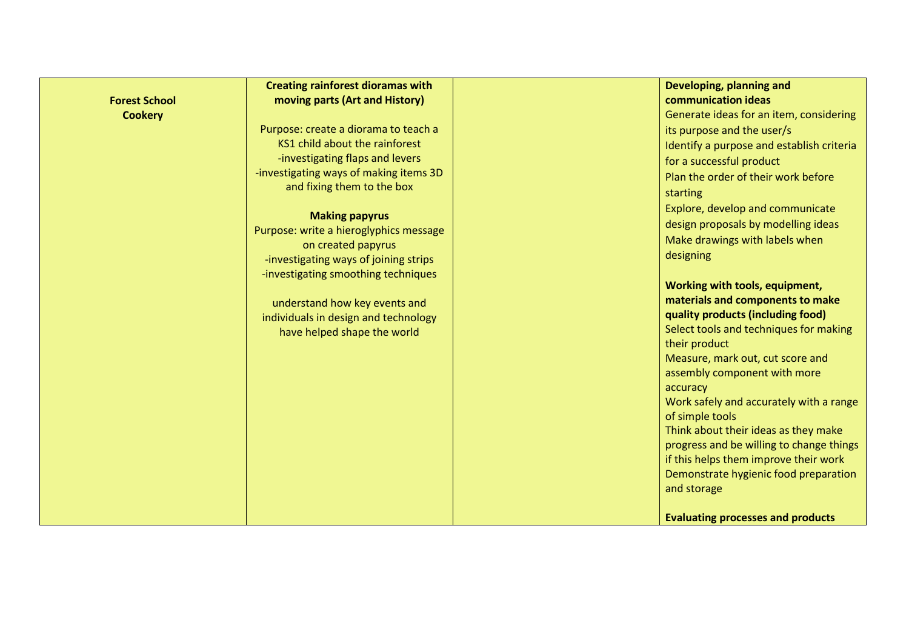|                      | <b>Creating rainforest dioramas with</b>                     | Developing, planning and                                                       |
|----------------------|--------------------------------------------------------------|--------------------------------------------------------------------------------|
| <b>Forest School</b> | moving parts (Art and History)                               | communication ideas                                                            |
| <b>Cookery</b>       |                                                              | Generate ideas for an item, considering                                        |
|                      | Purpose: create a diorama to teach a                         | its purpose and the user/s                                                     |
|                      | KS1 child about the rainforest                               | Identify a purpose and establish criteria                                      |
|                      | -investigating flaps and levers                              | for a successful product                                                       |
|                      | -investigating ways of making items 3D                       | Plan the order of their work before                                            |
|                      | and fixing them to the box                                   | starting                                                                       |
|                      |                                                              | Explore, develop and communicate                                               |
|                      | <b>Making papyrus</b>                                        | design proposals by modelling ideas                                            |
|                      | Purpose: write a hieroglyphics message<br>on created papyrus | Make drawings with labels when                                                 |
|                      | -investigating ways of joining strips                        | designing                                                                      |
|                      | -investigating smoothing techniques                          |                                                                                |
|                      |                                                              | Working with tools, equipment,                                                 |
|                      | understand how key events and                                | materials and components to make                                               |
|                      | individuals in design and technology                         | quality products (including food)                                              |
|                      | have helped shape the world                                  | Select tools and techniques for making                                         |
|                      |                                                              | their product                                                                  |
|                      |                                                              | Measure, mark out, cut score and                                               |
|                      |                                                              | assembly component with more                                                   |
|                      |                                                              | accuracy                                                                       |
|                      |                                                              | Work safely and accurately with a range                                        |
|                      |                                                              | of simple tools                                                                |
|                      |                                                              | Think about their ideas as they make                                           |
|                      |                                                              | progress and be willing to change things                                       |
|                      |                                                              | if this helps them improve their work<br>Demonstrate hygienic food preparation |
|                      |                                                              | and storage                                                                    |
|                      |                                                              |                                                                                |
|                      |                                                              | <b>Evaluating processes and products</b>                                       |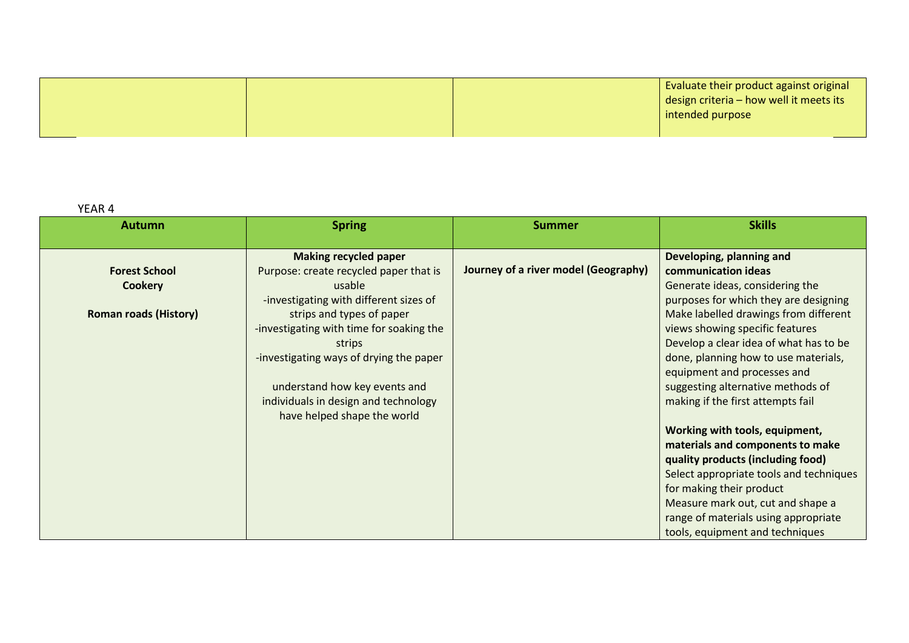|  | Evaluate their product against original         |
|--|-------------------------------------------------|
|  | $\vert$ design criteria – how well it meets its |
|  | intended purpose                                |
|  |                                                 |

| <b>Autumn</b>                                                          | <b>Spring</b>                                                                                                                                                                                                                                                                                                                                                    | <b>Summer</b>                        | <b>Skills</b>                                                                                                                                                                                                                                                                                                                                                                                                                                                                                                                                                                                                                                                                                        |
|------------------------------------------------------------------------|------------------------------------------------------------------------------------------------------------------------------------------------------------------------------------------------------------------------------------------------------------------------------------------------------------------------------------------------------------------|--------------------------------------|------------------------------------------------------------------------------------------------------------------------------------------------------------------------------------------------------------------------------------------------------------------------------------------------------------------------------------------------------------------------------------------------------------------------------------------------------------------------------------------------------------------------------------------------------------------------------------------------------------------------------------------------------------------------------------------------------|
| <b>Forest School</b><br><b>Cookery</b><br><b>Roman roads (History)</b> | <b>Making recycled paper</b><br>Purpose: create recycled paper that is<br>usable<br>-investigating with different sizes of<br>strips and types of paper<br>-investigating with time for soaking the<br>strips<br>-investigating ways of drying the paper<br>understand how key events and<br>individuals in design and technology<br>have helped shape the world | Journey of a river model (Geography) | Developing, planning and<br>communication ideas<br>Generate ideas, considering the<br>purposes for which they are designing<br>Make labelled drawings from different<br>views showing specific features<br>Develop a clear idea of what has to be<br>done, planning how to use materials,<br>equipment and processes and<br>suggesting alternative methods of<br>making if the first attempts fail<br>Working with tools, equipment,<br>materials and components to make<br>quality products (including food)<br>Select appropriate tools and techniques<br>for making their product<br>Measure mark out, cut and shape a<br>range of materials using appropriate<br>tools, equipment and techniques |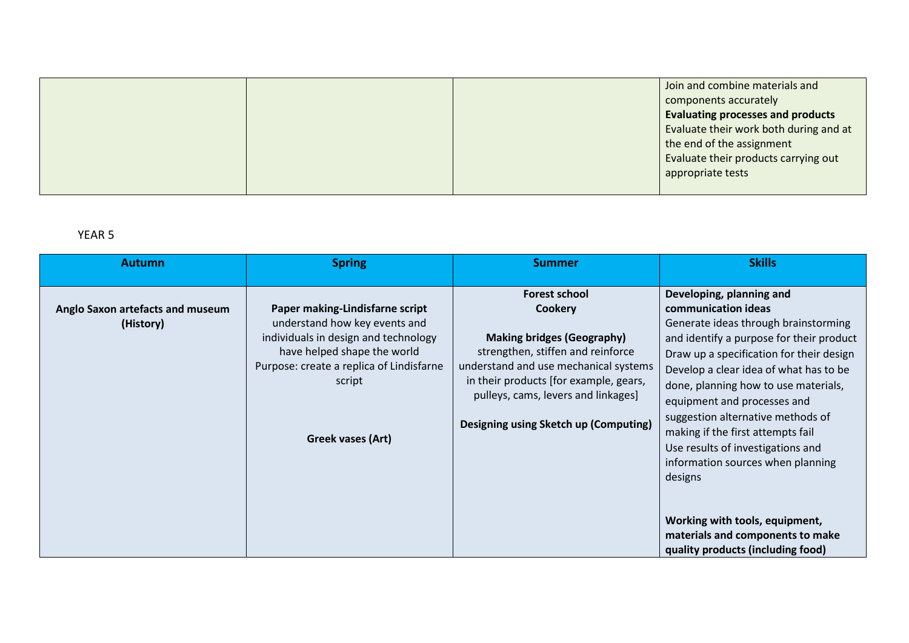|  | Join and combine materials and           |
|--|------------------------------------------|
|  | components accurately                    |
|  | <b>Evaluating processes and products</b> |
|  | Evaluate their work both during and at   |
|  | the end of the assignment                |
|  | Evaluate their products carrying out     |
|  | appropriate tests                        |
|  |                                          |

| <b>Autumn</b>                                 | <b>Spring</b>                                                                                                                                                                                                      | <b>Summer</b>                                                                                                                                                                                                                                                                       | <b>Skills</b>                                                                                                                                                                                                                                                                                                                                                                                                                                                                                                                                                              |
|-----------------------------------------------|--------------------------------------------------------------------------------------------------------------------------------------------------------------------------------------------------------------------|-------------------------------------------------------------------------------------------------------------------------------------------------------------------------------------------------------------------------------------------------------------------------------------|----------------------------------------------------------------------------------------------------------------------------------------------------------------------------------------------------------------------------------------------------------------------------------------------------------------------------------------------------------------------------------------------------------------------------------------------------------------------------------------------------------------------------------------------------------------------------|
| Anglo Saxon artefacts and museum<br>(History) | Paper making-Lindisfarne script<br>understand how key events and<br>individuals in design and technology<br>have helped shape the world<br>Purpose: create a replica of Lindisfarne<br>script<br>Greek vases (Art) | <b>Forest school</b><br><b>Cookery</b><br><b>Making bridges (Geography)</b><br>strengthen, stiffen and reinforce<br>understand and use mechanical systems<br>in their products [for example, gears,<br>pulleys, cams, levers and linkages]<br>Designing using Sketch up (Computing) | Developing, planning and<br>communication ideas<br>Generate ideas through brainstorming<br>and identify a purpose for their product<br>Draw up a specification for their design<br>Develop a clear idea of what has to be<br>done, planning how to use materials,<br>equipment and processes and<br>suggestion alternative methods of<br>making if the first attempts fail<br>Use results of investigations and<br>information sources when planning<br>designs<br>Working with tools, equipment,<br>materials and components to make<br>quality products (including food) |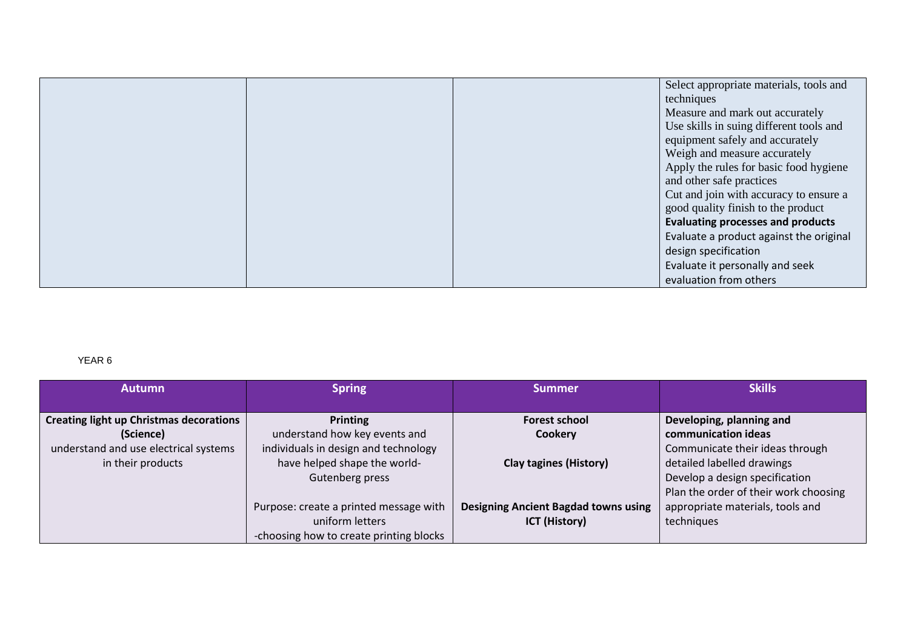|  | Select appropriate materials, tools and  |
|--|------------------------------------------|
|  | techniques                               |
|  | Measure and mark out accurately          |
|  | Use skills in suing different tools and  |
|  | equipment safely and accurately          |
|  | Weigh and measure accurately             |
|  | Apply the rules for basic food hygiene   |
|  | and other safe practices                 |
|  | Cut and join with accuracy to ensure a   |
|  | good quality finish to the product       |
|  | <b>Evaluating processes and products</b> |
|  | Evaluate a product against the original  |
|  | design specification                     |
|  | Evaluate it personally and seek          |
|  | evaluation from others                   |

| <b>Autumn</b>                                      | <b>Spring</b>                                                         | <b>Summer</b>                               | <b>Skills</b>                                                           |
|----------------------------------------------------|-----------------------------------------------------------------------|---------------------------------------------|-------------------------------------------------------------------------|
| Creating light up Christmas decorations            | Printing                                                              | <b>Forest school</b>                        | Developing, planning and                                                |
| (Science)<br>understand and use electrical systems | understand how key events and<br>individuals in design and technology | <b>Cookery</b>                              | communication ideas<br>Communicate their ideas through                  |
| in their products                                  | have helped shape the world-                                          | <b>Clay tagines (History)</b>               | detailed labelled drawings                                              |
|                                                    | Gutenberg press                                                       |                                             | Develop a design specification<br>Plan the order of their work choosing |
|                                                    | Purpose: create a printed message with                                | <b>Designing Ancient Bagdad towns using</b> | appropriate materials, tools and                                        |
|                                                    | uniform letters                                                       | <b>ICT (History)</b>                        | techniques                                                              |
|                                                    | -choosing how to create printing blocks                               |                                             |                                                                         |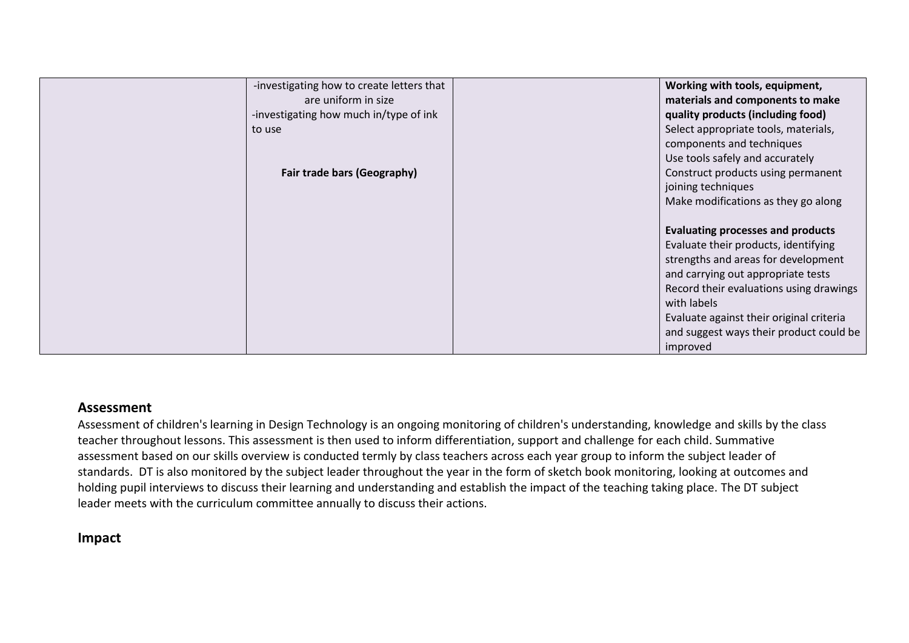| -investigating how to create letters that | Working with tools, equipment,           |
|-------------------------------------------|------------------------------------------|
| are uniform in size                       | materials and components to make         |
| -investigating how much in/type of ink    | quality products (including food)        |
| to use                                    | Select appropriate tools, materials,     |
|                                           | components and techniques                |
|                                           | Use tools safely and accurately          |
| Fair trade bars (Geography)               | Construct products using permanent       |
|                                           | joining techniques                       |
|                                           | Make modifications as they go along      |
|                                           |                                          |
|                                           | <b>Evaluating processes and products</b> |
|                                           | Evaluate their products, identifying     |
|                                           | strengths and areas for development      |
|                                           | and carrying out appropriate tests       |
|                                           | Record their evaluations using drawings  |
|                                           | with labels                              |
|                                           | Evaluate against their original criteria |
|                                           | and suggest ways their product could be  |
|                                           | improved                                 |

#### **Assessment**

Assessment of children's learning in Design Technology is an ongoing monitoring of children's understanding, knowledge and skills by the class teacher throughout lessons. This assessment is then used to inform differentiation, support and challenge for each child. Summative assessment based on our skills overview is conducted termly by class teachers across each year group to inform the subject leader of standards. DT is also monitored by the subject leader throughout the year in the form of sketch book monitoring, looking at outcomes and holding pupil interviews to discuss their learning and understanding and establish the impact of the teaching taking place. The DT subject leader meets with the curriculum committee annually to discuss their actions.

## **Impact**